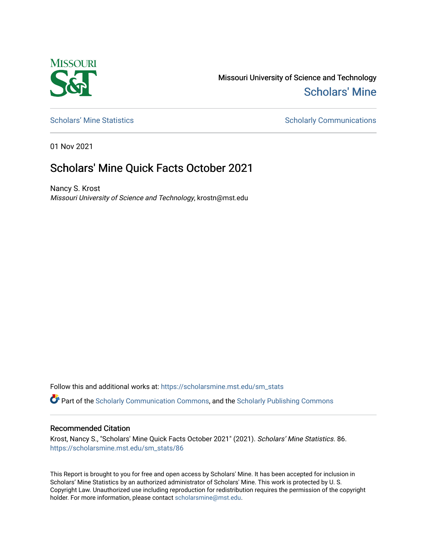

Missouri University of Science and Technology [Scholars' Mine](https://scholarsmine.mst.edu/) 

[Scholars' Mine Statistics](https://scholarsmine.mst.edu/sm_stats) Scholarly Communications

01 Nov 2021

## Scholars' Mine Quick Facts October 2021

Nancy S. Krost Missouri University of Science and Technology, krostn@mst.edu

Follow this and additional works at: [https://scholarsmine.mst.edu/sm\\_stats](https://scholarsmine.mst.edu/sm_stats?utm_source=scholarsmine.mst.edu%2Fsm_stats%2F86&utm_medium=PDF&utm_campaign=PDFCoverPages) 

Part of the [Scholarly Communication Commons,](http://network.bepress.com/hgg/discipline/1272?utm_source=scholarsmine.mst.edu%2Fsm_stats%2F86&utm_medium=PDF&utm_campaign=PDFCoverPages) and the [Scholarly Publishing Commons](http://network.bepress.com/hgg/discipline/1273?utm_source=scholarsmine.mst.edu%2Fsm_stats%2F86&utm_medium=PDF&utm_campaign=PDFCoverPages)

## Recommended Citation

Krost, Nancy S., "Scholars' Mine Quick Facts October 2021" (2021). Scholars' Mine Statistics. 86. [https://scholarsmine.mst.edu/sm\\_stats/86](https://scholarsmine.mst.edu/sm_stats/86?utm_source=scholarsmine.mst.edu%2Fsm_stats%2F86&utm_medium=PDF&utm_campaign=PDFCoverPages)

This Report is brought to you for free and open access by Scholars' Mine. It has been accepted for inclusion in Scholars' Mine Statistics by an authorized administrator of Scholars' Mine. This work is protected by U. S. Copyright Law. Unauthorized use including reproduction for redistribution requires the permission of the copyright holder. For more information, please contact [scholarsmine@mst.edu.](mailto:scholarsmine@mst.edu)